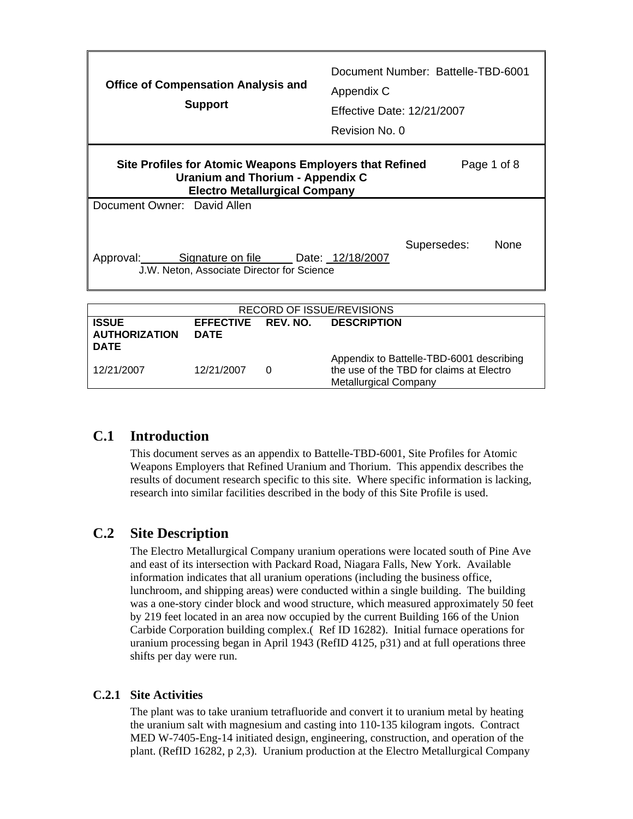| <b>Office of Compensation Analysis and</b><br><b>Support</b>                                                                               | Document Number: Battelle-TBD-6001<br>Appendix C<br><b>Effective Date: 12/21/2007</b><br>Revision No. 0 |
|--------------------------------------------------------------------------------------------------------------------------------------------|---------------------------------------------------------------------------------------------------------|
| Site Profiles for Atomic Weapons Employers that Refined<br><b>Uranium and Thorium - Appendix C</b><br><b>Electro Metallurgical Company</b> | Page 1 of 8                                                                                             |
| Document Owner: David Allen                                                                                                                |                                                                                                         |
| Approval: Signature on file Date: 12/18/2007<br>J.W. Neton, Associate Director for Science                                                 | <b>None</b><br>Supersedes:                                                                              |
|                                                                                                                                            |                                                                                                         |
| <b>RECORD OF ISSUE/REVISIONS</b>                                                                                                           |                                                                                                         |
| <b>EFFECTIVE</b><br>REV. NO.<br><b>ISSUE</b><br><b>AUTHORIZATION</b><br><b>DATE</b>                                                        | <b>DESCRIPTION</b>                                                                                      |

| <b>DATE</b> |            |                                                                                                                      |
|-------------|------------|----------------------------------------------------------------------------------------------------------------------|
| 12/21/2007  | 12/21/2007 | Appendix to Battelle-TBD-6001 describing<br>the use of the TBD for claims at Electro<br><b>Metallurgical Company</b> |

## **C.1 Introduction**

This document serves as an appendix to Battelle-TBD-6001, Site Profiles for Atomic Weapons Employers that Refined Uranium and Thorium. This appendix describes the results of document research specific to this site. Where specific information is lacking, research into similar facilities described in the body of this Site Profile is used.

# **C.2 Site Description**

The Electro Metallurgical Company uranium operations were located south of Pine Ave and east of its intersection with Packard Road, Niagara Falls, New York. Available information indicates that all uranium operations (including the business office, lunchroom, and shipping areas) were conducted within a single building. The building was a one-story cinder block and wood structure, which measured approximately 50 feet by 219 feet located in an area now occupied by the current Building 166 of the Union Carbide Corporation building complex.( Ref ID 16282). Initial furnace operations for uranium processing began in April 1943 (RefID 4125, p31) and at full operations three shifts per day were run.

### **C.2.1 Site Activities**

 The plant was to take uranium tetrafluoride and convert it to uranium metal by heating the uranium salt with magnesium and casting into 110-135 kilogram ingots. Contract MED W-7405-Eng-14 initiated design, engineering, construction, and operation of the plant. (RefID 16282, p 2,3). Uranium production at the Electro Metallurgical Company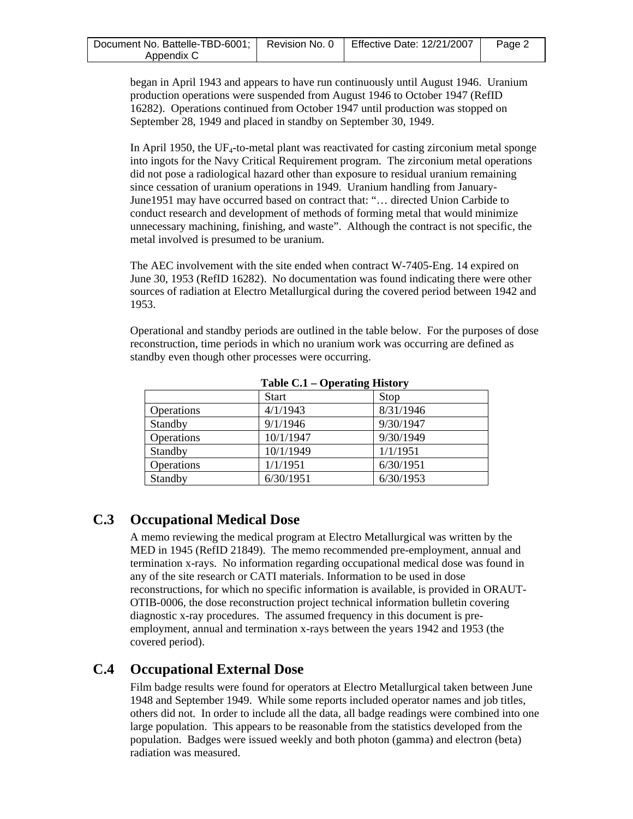| Document No. Battelle-TBD-6001;   Revision No. 0 | <b>Effective Date: 12/21/2007</b> | Page 2 |
|--------------------------------------------------|-----------------------------------|--------|
| Appendix C                                       |                                   |        |

began in April 1943 and appears to have run continuously until August 1946. Uranium production operations were suspended from August 1946 to October 1947 (RefID 16282). Operations continued from October 1947 until production was stopped on September 28, 1949 and placed in standby on September 30, 1949.

In April 1950, the UF<sub>4</sub>-to-metal plant was reactivated for casting zirconium metal sponge into ingots for the Navy Critical Requirement program. The zirconium metal operations did not pose a radiological hazard other than exposure to residual uranium remaining since cessation of uranium operations in 1949. Uranium handling from January-June1951 may have occurred based on contract that: "… directed Union Carbide to conduct research and development of methods of forming metal that would minimize unnecessary machining, finishing, and waste". Although the contract is not specific, the metal involved is presumed to be uranium.

The AEC involvement with the site ended when contract W-7405-Eng. 14 expired on June 30, 1953 (RefID 16282). No documentation was found indicating there were other sources of radiation at Electro Metallurgical during the covered period between 1942 and 1953.

Operational and standby periods are outlined in the table below. For the purposes of dose reconstruction, time periods in which no uranium work was occurring are defined as standby even though other processes were occurring.

|            | <b>Start</b> | Stop      |  |
|------------|--------------|-----------|--|
| Operations | 4/1/1943     | 8/31/1946 |  |
| Standby    | 9/1/1946     | 9/30/1947 |  |
| Operations | 10/1/1947    | 9/30/1949 |  |
| Standby    | 10/1/1949    | 1/1/1951  |  |
| Operations | 1/1/1951     | 6/30/1951 |  |
| Standby    | 6/30/1951    | 6/30/1953 |  |

**Table C.1 – Operating History** 

## **C.3 Occupational Medical Dose**

A memo reviewing the medical program at Electro Metallurgical was written by the MED in 1945 (RefID 21849). The memo recommended pre-employment, annual and termination x-rays. No information regarding occupational medical dose was found in any of the site research or CATI materials. Information to be used in dose reconstructions, for which no specific information is available, is provided in ORAUT-OTIB-0006, the dose reconstruction project technical information bulletin covering diagnostic x-ray procedures. The assumed frequency in this document is preemployment, annual and termination x-rays between the years 1942 and 1953 (the covered period).

## **C.4 Occupational External Dose**

Film badge results were found for operators at Electro Metallurgical taken between June 1948 and September 1949. While some reports included operator names and job titles, others did not. In order to include all the data, all badge readings were combined into one large population. This appears to be reasonable from the statistics developed from the population. Badges were issued weekly and both photon (gamma) and electron (beta) radiation was measured.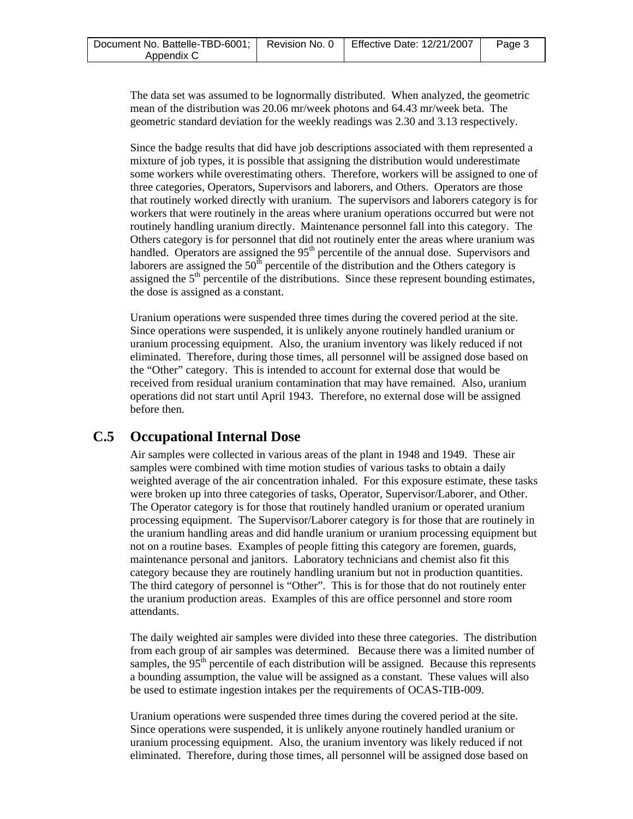| Document No. Battelle-TBD-6001;   Revision No. 0 | <b>Effective Date: 12/21/2007</b> | Page 3 |
|--------------------------------------------------|-----------------------------------|--------|
| Appendix C                                       |                                   |        |

The data set was assumed to be lognormally distributed. When analyzed, the geometric mean of the distribution was 20.06 mr/week photons and 64.43 mr/week beta. The geometric standard deviation for the weekly readings was 2.30 and 3.13 respectively.

Since the badge results that did have job descriptions associated with them represented a mixture of job types, it is possible that assigning the distribution would underestimate some workers while overestimating others. Therefore, workers will be assigned to one of three categories, Operators, Supervisors and laborers, and Others. Operators are those that routinely worked directly with uranium. The supervisors and laborers category is for workers that were routinely in the areas where uranium operations occurred but were not routinely handling uranium directly. Maintenance personnel fall into this category. The Others category is for personnel that did not routinely enter the areas where uranium was handled. Operators are assigned the  $95<sup>th</sup>$  percentile of the annual dose. Supervisors and laborers are assigned the  $50<sup>th</sup>$  percentile of the distribution and the Others category is assigned the  $5<sup>th</sup>$  percentile of the distributions. Since these represent bounding estimates, the dose is assigned as a constant.

Uranium operations were suspended three times during the covered period at the site. Since operations were suspended, it is unlikely anyone routinely handled uranium or uranium processing equipment. Also, the uranium inventory was likely reduced if not eliminated. Therefore, during those times, all personnel will be assigned dose based on the "Other" category. This is intended to account for external dose that would be received from residual uranium contamination that may have remained. Also, uranium operations did not start until April 1943. Therefore, no external dose will be assigned before then.

## **C.5 Occupational Internal Dose**

Air samples were collected in various areas of the plant in 1948 and 1949. These air samples were combined with time motion studies of various tasks to obtain a daily weighted average of the air concentration inhaled. For this exposure estimate, these tasks were broken up into three categories of tasks, Operator, Supervisor/Laborer, and Other. The Operator category is for those that routinely handled uranium or operated uranium processing equipment. The Supervisor/Laborer category is for those that are routinely in the uranium handling areas and did handle uranium or uranium processing equipment but not on a routine bases. Examples of people fitting this category are foremen, guards, maintenance personal and janitors. Laboratory technicians and chemist also fit this category because they are routinely handling uranium but not in production quantities. The third category of personnel is "Other". This is for those that do not routinely enter the uranium production areas. Examples of this are office personnel and store room attendants.

The daily weighted air samples were divided into these three categories. The distribution from each group of air samples was determined. Because there was a limited number of samples, the  $95<sup>th</sup>$  percentile of each distribution will be assigned. Because this represents a bounding assumption, the value will be assigned as a constant. These values will also be used to estimate ingestion intakes per the requirements of OCAS-TIB-009.

Uranium operations were suspended three times during the covered period at the site. Since operations were suspended, it is unlikely anyone routinely handled uranium or uranium processing equipment. Also, the uranium inventory was likely reduced if not eliminated. Therefore, during those times, all personnel will be assigned dose based on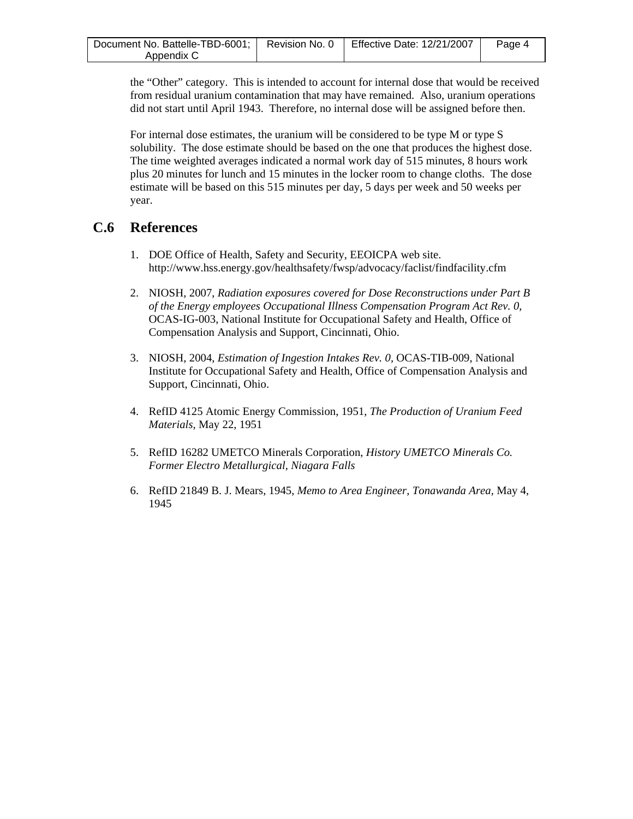| Document No. Battelle-TBD-6001;   Revision No. 0   Effective Date: 12/21/2007 |  | Page 4 |
|-------------------------------------------------------------------------------|--|--------|
| Appendix C                                                                    |  |        |

the "Other" category. This is intended to account for internal dose that would be received from residual uranium contamination that may have remained. Also, uranium operations did not start until April 1943. Therefore, no internal dose will be assigned before then.

For internal dose estimates, the uranium will be considered to be type M or type S solubility. The dose estimate should be based on the one that produces the highest dose. The time weighted averages indicated a normal work day of 515 minutes, 8 hours work plus 20 minutes for lunch and 15 minutes in the locker room to change cloths. The dose estimate will be based on this 515 minutes per day, 5 days per week and 50 weeks per year.

### **C.6 References**

- 1. DOE Office of Health, Safety and Security, EEOICPA web site. http://www.hss.energy.gov/healthsafety/fwsp/advocacy/faclist/findfacility.cfm
- 2. NIOSH, 2007, *Radiation exposures covered for Dose Reconstructions under Part B of the Energy employees Occupational Illness Compensation Program Act Rev. 0*, OCAS-IG-003, National Institute for Occupational Safety and Health, Office of Compensation Analysis and Support, Cincinnati, Ohio.
- 3. NIOSH, 2004, *Estimation of Ingestion Intakes Rev. 0,* OCAS-TIB-009, National Institute for Occupational Safety and Health, Office of Compensation Analysis and Support, Cincinnati, Ohio.
- 4. RefID 4125 Atomic Energy Commission, 1951, *The Production of Uranium Feed Materials,* May 22, 1951
- 5. RefID 16282 UMETCO Minerals Corporation, *History UMETCO Minerals Co. Former Electro Metallurgical, Niagara Falls*
- 6. RefID 21849 B. J. Mears, 1945, *Memo to Area Engineer, Tonawanda Area,* May 4, 1945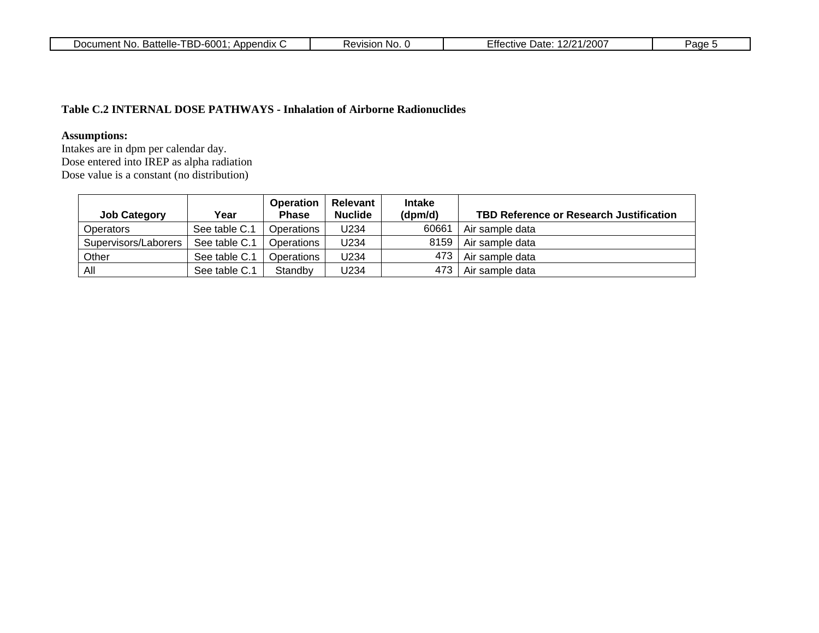| $\sim$ $\sim$<br>$\sim$ $\sim$ $\sim$<br>. D F<br>.,<br>Battelle<br>$\sim$ $\sim$ $\sim$ $\sim$ $\sim$<br>$\cdots$<br><b>ASIOL</b><br>Jate<br>-No<br>וחחו<br>∷tive<br>.<br>'' 1-60c<br>NC<br>$\sqrt{2}$<br>⊥m≙n*<br>ттє<br>╯<br>שם<br>טש<br>ิษมนก<br>ZUU<br>. |
|---------------------------------------------------------------------------------------------------------------------------------------------------------------------------------------------------------------------------------------------------------------|
|---------------------------------------------------------------------------------------------------------------------------------------------------------------------------------------------------------------------------------------------------------------|

#### **Table C.2 INTERNAL DOSE PATHWAYS - Inhalation of Airborne Radionuclides**

### **Assumptions:**

Intakes are in dpm per calendar day. Dose entered into IREP as alpha radiation Dose value is a constant (no distribution)

| <b>Job Category</b>  | Year          | <b>Operation</b><br><b>Phase</b> | <b>Relevant</b><br><b>Nuclide</b> | <b>Intake</b><br>(dpm/d) | TBD Reference or Research Justification |
|----------------------|---------------|----------------------------------|-----------------------------------|--------------------------|-----------------------------------------|
| Operators            | See table C.1 | Operations                       | U234                              | 60661                    | Air sample data                         |
| Supervisors/Laborers | See table C.1 | Operations                       | U234                              | 8159                     | Air sample data                         |
| Other                | See table C.1 | Operations                       | U234                              | 473                      | Air sample data                         |
| All                  | See table C.1 | Standby                          | U234                              | 473                      | Air sample data                         |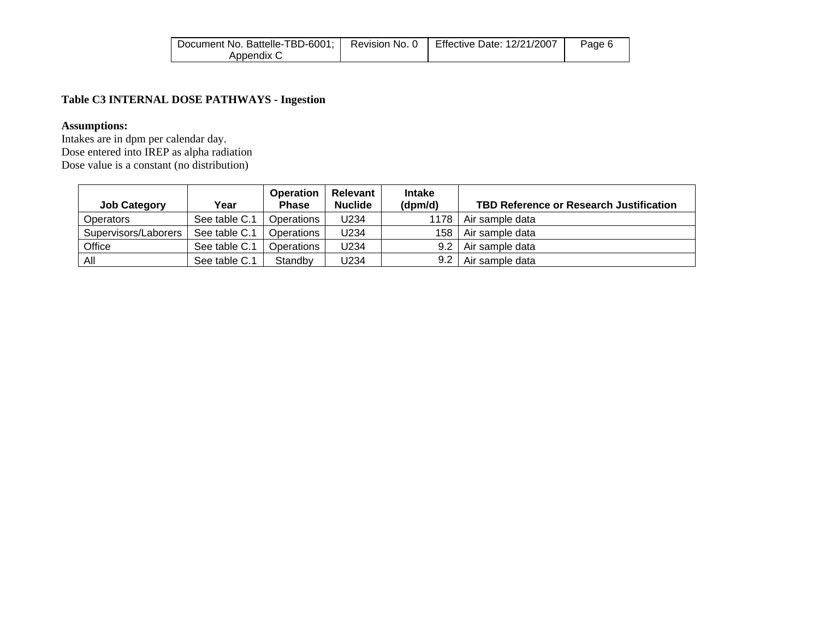| Document No. Battelle-TBD-6001; | Revision No. 0 | <b>Effective Date: 12/21/2007</b> | Page 6 |
|---------------------------------|----------------|-----------------------------------|--------|
| Appendix C                      |                |                                   |        |

### **Table C3 INTERNAL DOSE PATHWAYS - Ingestion**

#### **Assumptions:**

Intakes are in dpm per calendar day. Dose entered into IREP as alpha radiation Dose value is a constant (no distribution)

| <b>Job Category</b>  | Year          | <b>Operation</b><br><b>Phase</b> | Relevant<br><b>Nuclide</b> | <b>Intake</b><br>(dpm/d) | <b>TBD Reference or Research Justification</b> |
|----------------------|---------------|----------------------------------|----------------------------|--------------------------|------------------------------------------------|
| Operators            | See table C.1 | Operations                       | U234                       | 1178                     | Air sample data                                |
| Supervisors/Laborers | See table C.1 | Operations                       | U234                       | 158                      | Air sample data                                |
| Office               | See table C.1 | Operations                       | U234                       | 9.2                      | Air sample data                                |
| All                  | See table C.1 | Standby                          | U234                       | 9.2                      | Air sample data                                |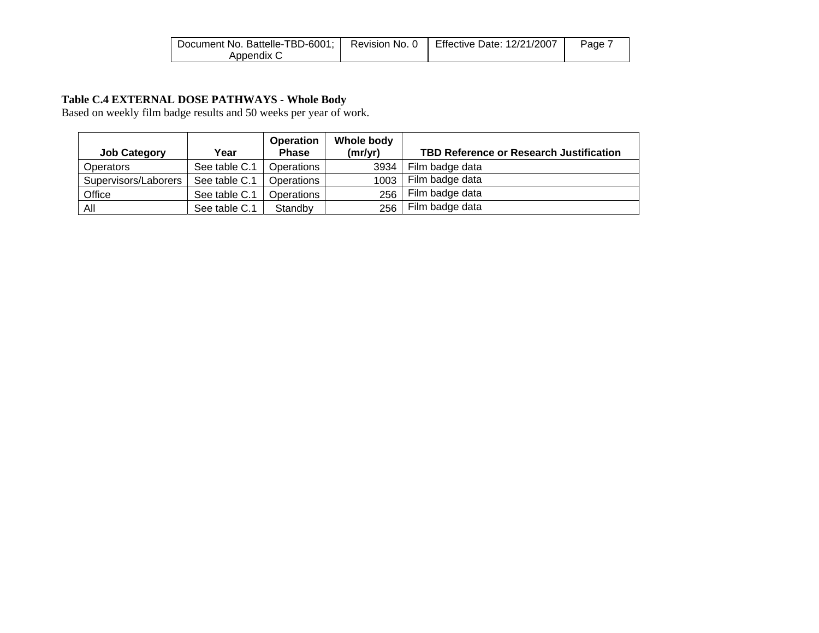| Document No. Battelle-TBD-6001;   Revision No. 0 | <b>Effective Date: 12/21/2007</b> | Page. |
|--------------------------------------------------|-----------------------------------|-------|
| Appendix C                                       |                                   |       |

#### **Table C.4 EXTERNAL DOSE PATHWAYS - Whole Body**

Based on weekly film badge results and 50 weeks per year of work.

| <b>Job Category</b>  | Year          | <b>Operation</b><br><b>Phase</b> | Whole body<br>(mr/yr) | <b>TBD Reference or Research Justification</b> |
|----------------------|---------------|----------------------------------|-----------------------|------------------------------------------------|
| Operators            | See table C.1 | Operations                       | 3934                  | Film badge data                                |
| Supervisors/Laborers | See table C.1 | Operations                       | 1003                  | Film badge data                                |
| Office               | See table C.1 | Operations                       | 256                   | Film badge data                                |
| All                  | See table C.1 | Standby                          | 256                   | Film badge data                                |